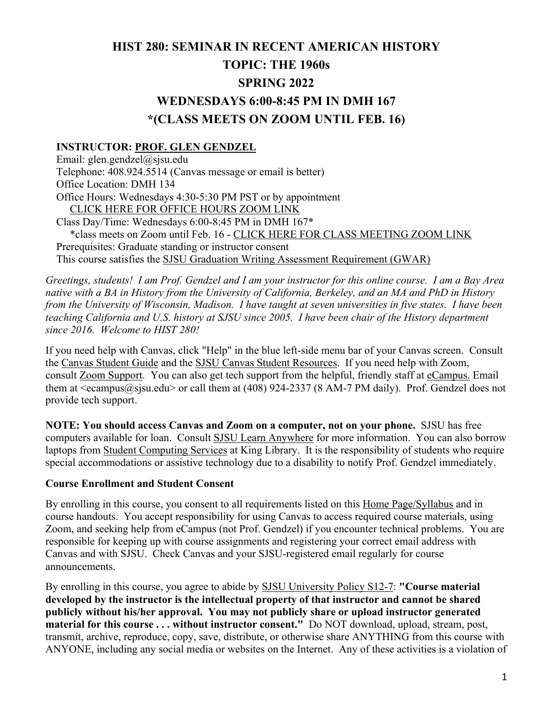# **HIST 280: SEMINAR IN RECENT AMERICAN HISTORY TOPIC: THE 1960s SPRING 2022 WEDNESDAYS 6:00-8:45 PM IN DMH 167 \*(CLASS MEETS ON ZOOM UNTIL FEB. 16)**

### **INSTRUCTOR: PROF. GLEN GENDZEL**

Email: glen.gendzel@sjsu.edu Telephone: 408.924.5514 (Canvas message or email is better) Office Location: DMH 134 Office Hours: Wednesdays 4:30-5:30 PM PST or by appointment CLICK HERE FOR OFFICE HOURS ZOOM LINK Class Day/Time: Wednesdays 6:00-8:45 PM in DMH 167\* \*class meets on Zoom until Feb. 16 - CLICK HERE FOR CLASS MEETING ZOOM LINK Prerequisites: Graduate standing or instructor consent This course satisfies the SJSU Graduation Writing Assessment Requirement (GWAR)

*Greetings, students! I am Prof. Gendzel and I am your instructor for this online course. I am a Bay Area native with a BA in History from the University of California, Berkeley, and an MA and PhD in History from the University of Wisconsin, Madison. I have taught at seven universities in five states. I have been teaching California and U.S. history at SJSU since 2005. I have been chair of the History department since 2016. Welcome to HIST 280!*

If you need help with Canvas, click "Help" in the blue left-side menu bar of your Canvas screen. Consult the Canvas Student Guide and the SJSU Canvas Student Resources. If you need help with Zoom, consult Zoom Support. You can also get tech support from the helpful, friendly staff at eCampus. Email them at  $\leq$ ecampus@sjsu.edu> or call them at (408) 924-2337 (8 AM-7 PM daily). Prof. Gendzel does not provide tech support.

**NOTE: You should access Canvas and Zoom on a computer, not on your phone.** SJSU has free computers available for loan. Consult SJSU Learn Anywhere for more information. You can also borrow laptops from Student Computing Services at King Library. It is the responsibility of students who require special accommodations or assistive technology due to a disability to notify Prof. Gendzel immediately.

#### **Course Enrollment and Student Consent**

By enrolling in this course, you consent to all requirements listed on this Home Page/Syllabus and in course handouts. You accept responsibility for using Canvas to access required course materials, using Zoom, and seeking help from eCampus (not Prof. Gendzel) if you encounter technical problems. You are responsible for keeping up with course assignments and registering your correct email address with Canvas and with SJSU. Check Canvas and your SJSU-registered email regularly for course announcements.

By enrolling in this course, you agree to abide by SJSU University Policy S12-7: **"Course material developed by the instructor is the intellectual property of that instructor and cannot be shared publicly without his/her approval. You may not publicly share or upload instructor generated material for this course . . . without instructor consent."** Do NOT download, upload, stream, post, transmit, archive, reproduce, copy, save, distribute, or otherwise share ANYTHING from this course with ANYONE, including any social media or websites on the Internet. Any of these activities is a violation of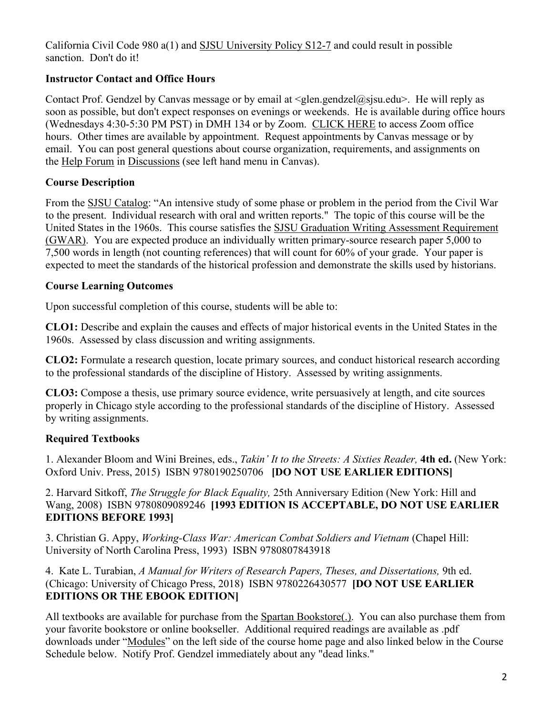California Civil Code 980 a(1) and SJSU University Policy S12-7 and could result in possible sanction. Don't do it!

## **Instructor Contact and Office Hours**

Contact Prof. Gendzel by Canvas message or by email at  $\leq$ glen.gendzel@sjsu.edu>. He will reply as soon as possible, but don't expect responses on evenings or weekends. He is available during office hours (Wednesdays 4:30-5:30 PM PST) in DMH 134 or by Zoom. CLICK HERE to access Zoom office hours. Other times are available by appointment. Request appointments by Canvas message or by email. You can post general questions about course organization, requirements, and assignments on the Help Forum in Discussions (see left hand menu in Canvas).

### **Course Description**

From the SJSU Catalog: "An intensive study of some phase or problem in the period from the Civil War to the present. Individual research with oral and written reports." The topic of this course will be the United States in the 1960s. This course satisfies the SJSU Graduation Writing Assessment Requirement (GWAR). You are expected produce an individually written primary-source research paper 5,000 to 7,500 words in length (not counting references) that will count for 60% of your grade. Your paper is expected to meet the standards of the historical profession and demonstrate the skills used by historians.

### **Course Learning Outcomes**

Upon successful completion of this course, students will be able to:

**CLO1:** Describe and explain the causes and effects of major historical events in the United States in the 1960s. Assessed by class discussion and writing assignments.

**CLO2:** Formulate a research question, locate primary sources, and conduct historical research according to the professional standards of the discipline of History. Assessed by writing assignments.

**CLO3:** Compose a thesis, use primary source evidence, write persuasively at length, and cite sources properly in Chicago style according to the professional standards of the discipline of History. Assessed by writing assignments.

## **Required Textbooks**

1. Alexander Bloom and Wini Breines, eds., *Takin' It to the Streets: A Sixties Reader,* **4th ed.** (New York: Oxford Univ. Press, 2015) ISBN 9780190250706 **[DO NOT USE EARLIER EDITIONS]**

2. Harvard Sitkoff, *The Struggle for Black Equality,* 25th Anniversary Edition (New York: Hill and Wang, 2008) ISBN 9780809089246 **[1993 EDITION IS ACCEPTABLE, DO NOT USE EARLIER EDITIONS BEFORE 1993]**

3. Christian G. Appy, *Working-Class War: American Combat Soldiers and Vietnam* (Chapel Hill: University of North Carolina Press, 1993) ISBN 9780807843918

4. Kate L. Turabian, *A Manual for Writers of Research Papers, Theses, and Dissertations,* 9th ed. (Chicago: University of Chicago Press, 2018) ISBN 9780226430577 **[DO NOT USE EARLIER EDITIONS OR THE EBOOK EDITION]**

All textbooks are available for purchase from the Spartan Bookstore(.). You can also purchase them from your favorite bookstore or online bookseller. Additional required readings are available as .pdf downloads under "Modules" on the left side of the course home page and also linked below in the Course Schedule below. Notify Prof. Gendzel immediately about any "dead links."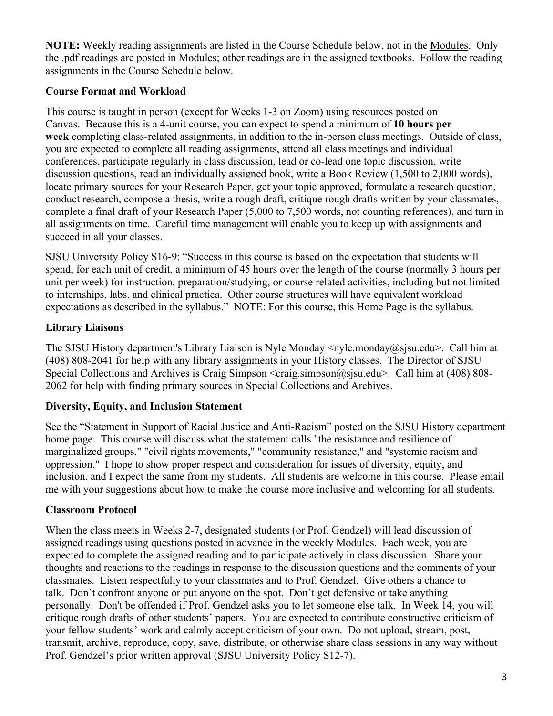**NOTE:** Weekly reading assignments are listed in the Course Schedule below, not in the Modules. Only the .pdf readings are posted in Modules; other readings are in the assigned textbooks. Follow the reading assignments in the Course Schedule below.

# **Course Format and Workload**

This course is taught in person (except for Weeks 1-3 on Zoom) using resources posted on Canvas. Because this is a 4-unit course, you can expect to spend a minimum of **10 hours per week** completing class-related assignments, in addition to the in-person class meetings. Outside of class, you are expected to complete all reading assignments, attend all class meetings and individual conferences, participate regularly in class discussion, lead or co-lead one topic discussion, write discussion questions, read an individually assigned book, write a Book Review (1,500 to 2,000 words), locate primary sources for your Research Paper, get your topic approved, formulate a research question, conduct research, compose a thesis, write a rough draft, critique rough drafts written by your classmates, complete a final draft of your Research Paper (5,000 to 7,500 words, not counting references), and turn in all assignments on time. Careful time management will enable you to keep up with assignments and succeed in all your classes.

SJSU University Policy S16-9: "Success in this course is based on the expectation that students will spend, for each unit of credit, a minimum of 45 hours over the length of the course (normally 3 hours per unit per week) for instruction, preparation/studying, or course related activities, including but not limited to internships, labs, and clinical practica. Other course structures will have equivalent workload expectations as described in the syllabus." NOTE: For this course, this Home Page is the syllabus.

# **Library Liaisons**

The SJSU History department's Library Liaison is Nyle Monday <nyle.monday@sjsu.edu>. Call him at (408) 808-2041 for help with any library assignments in your History classes. The Director of SJSU Special Collections and Archives is Craig Simpson  $\langle \text{craig.simpson}(\hat{\omega})$  sigu.edu $\rangle$ . Call him at (408) 808-2062 for help with finding primary sources in Special Collections and Archives.

# **Diversity, Equity, and Inclusion Statement**

See the "Statement in Support of Racial Justice and Anti-Racism" posted on the SJSU History department home page. This course will discuss what the statement calls "the resistance and resilience of marginalized groups," "civil rights movements," "community resistance," and "systemic racism and oppression." I hope to show proper respect and consideration for issues of diversity, equity, and inclusion, and I expect the same from my students. All students are welcome in this course. Please email me with your suggestions about how to make the course more inclusive and welcoming for all students.

# **Classroom Protocol**

When the class meets in Weeks 2-7, designated students (or Prof. Gendzel) will lead discussion of assigned readings using questions posted in advance in the weekly Modules. Each week, you are expected to complete the assigned reading and to participate actively in class discussion. Share your thoughts and reactions to the readings in response to the discussion questions and the comments of your classmates. Listen respectfully to your classmates and to Prof. Gendzel. Give others a chance to talk. Don't confront anyone or put anyone on the spot. Don't get defensive or take anything personally. Don't be offended if Prof. Gendzel asks you to let someone else talk. In Week 14, you will critique rough drafts of other students' papers. You are expected to contribute constructive criticism of your fellow students' work and calmly accept criticism of your own. Do not upload, stream, post, transmit, archive, reproduce, copy, save, distribute, or otherwise share class sessions in any way without Prof. Gendzel's prior written approval (SJSU University Policy S12-7).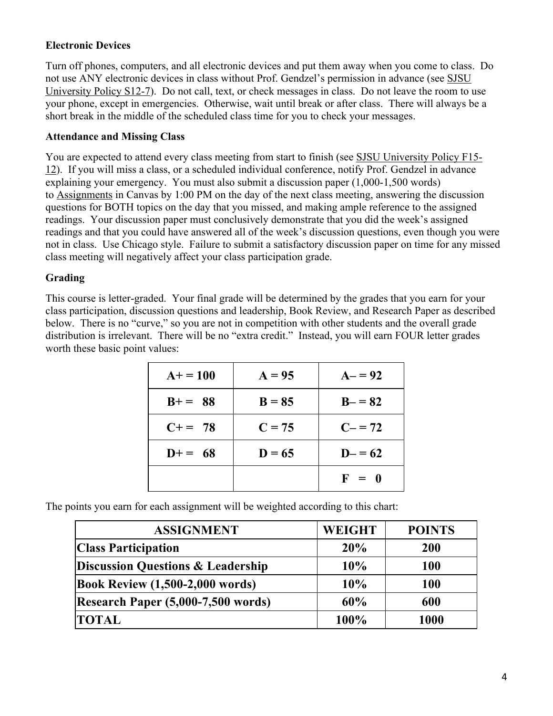### **Electronic Devices**

Turn off phones, computers, and all electronic devices and put them away when you come to class. Do not use ANY electronic devices in class without Prof. Gendzel's permission in advance (see SJSU University Policy S12-7). Do not call, text, or check messages in class. Do not leave the room to use your phone, except in emergencies. Otherwise, wait until break or after class. There will always be a short break in the middle of the scheduled class time for you to check your messages.

### **Attendance and Missing Class**

You are expected to attend every class meeting from start to finish (see SJSU University Policy F15- 12). If you will miss a class, or a scheduled individual conference, notify Prof. Gendzel in advance explaining your emergency. You must also submit a discussion paper (1,000-1,500 words) to Assignments in Canvas by 1:00 PM on the day of the next class meeting, answering the discussion questions for BOTH topics on the day that you missed, and making ample reference to the assigned readings. Your discussion paper must conclusively demonstrate that you did the week's assigned readings and that you could have answered all of the week's discussion questions, even though you were not in class. Use Chicago style. Failure to submit a satisfactory discussion paper on time for any missed class meeting will negatively affect your class participation grade.

### **Grading**

This course is letter-graded. Your final grade will be determined by the grades that you earn for your class participation, discussion questions and leadership, Book Review, and Research Paper as described below. There is no "curve," so you are not in competition with other students and the overall grade distribution is irrelevant. There will be no "extra credit." Instead, you will earn FOUR letter grades worth these basic point values:

| $A+ = 100$ | $A = 95$ | $A - 92$   |
|------------|----------|------------|
| $B+= 88$   | $B = 85$ | $B - = 82$ |
| $C+= 78$   | $C = 75$ | $C = 72$   |
| $D+= 68$   | $D = 65$ | $D = 62$   |
|            |          | $F = 0$    |

The points you earn for each assignment will be weighted according to this chart:

| <b>ASSIGNMENT</b>                            | <b>WEIGHT</b> | <b>POINTS</b> |
|----------------------------------------------|---------------|---------------|
| <b>Class Participation</b>                   | 20%           | <b>200</b>    |
| <b>Discussion Questions &amp; Leadership</b> | 10%           | 100           |
| <b>Book Review (1,500-2,000 words)</b>       | 10%           | <b>100</b>    |
| Research Paper (5,000-7,500 words)           | 60%           | 600           |
| <b>TOTAL</b>                                 | 100%          | 1000          |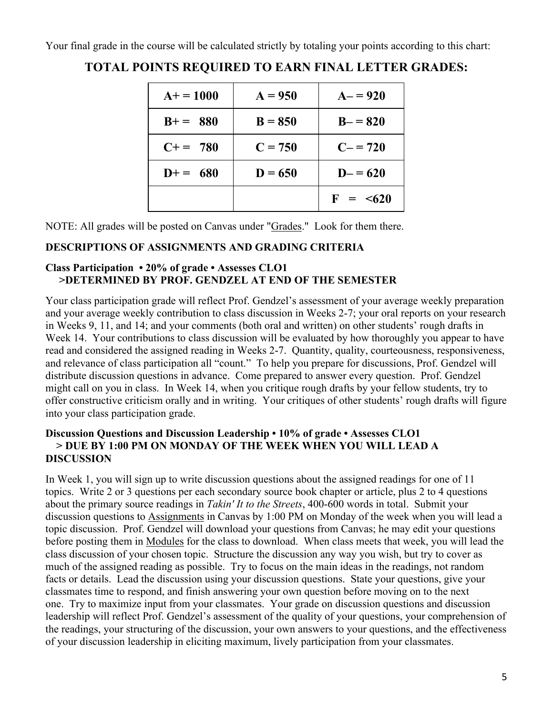Your final grade in the course will be calculated strictly by totaling your points according to this chart:

| $A+ = 1000$ | $A = 950$ | $A - 920$      |
|-------------|-----------|----------------|
| $B+= 880$   | $B = 850$ | $B - = 820$    |
| $C+= 780$   | $C = 750$ | $C - 720$      |
| $D+= 680$   | $D = 650$ | $D = 620$      |
|             |           | $F = \leq 620$ |

# **TOTAL POINTS REQUIRED TO EARN FINAL LETTER GRADES:**

NOTE: All grades will be posted on Canvas under "Grades." Look for them there.

# **DESCRIPTIONS OF ASSIGNMENTS AND GRADING CRITERIA**

## **Class Participation • 20% of grade • Assesses CLO1 >DETERMINED BY PROF. GENDZEL AT END OF THE SEMESTER**

Your class participation grade will reflect Prof. Gendzel's assessment of your average weekly preparation and your average weekly contribution to class discussion in Weeks 2-7; your oral reports on your research in Weeks 9, 11, and 14; and your comments (both oral and written) on other students' rough drafts in Week 14. Your contributions to class discussion will be evaluated by how thoroughly you appear to have read and considered the assigned reading in Weeks 2-7. Quantity, quality, courteousness, responsiveness, and relevance of class participation all "count." To help you prepare for discussions, Prof. Gendzel will distribute discussion questions in advance. Come prepared to answer every question. Prof. Gendzel might call on you in class. In Week 14, when you critique rough drafts by your fellow students, try to offer constructive criticism orally and in writing. Your critiques of other students' rough drafts will figure into your class participation grade.

### **Discussion Questions and Discussion Leadership • 10% of grade • Assesses CLO1 > DUE BY 1:00 PM ON MONDAY OF THE WEEK WHEN YOU WILL LEAD A DISCUSSION**

In Week 1, you will sign up to write discussion questions about the assigned readings for one of 11 topics. Write 2 or 3 questions per each secondary source book chapter or article, plus 2 to 4 questions about the primary source readings in *Takin' It to the Streets*, 400-600 words in total. Submit your discussion questions to Assignments in Canvas by 1:00 PM on Monday of the week when you will lead a topic discussion. Prof. Gendzel will download your questions from Canvas; he may edit your questions before posting them in Modules for the class to download. When class meets that week, you will lead the class discussion of your chosen topic. Structure the discussion any way you wish, but try to cover as much of the assigned reading as possible. Try to focus on the main ideas in the readings, not random facts or details. Lead the discussion using your discussion questions. State your questions, give your classmates time to respond, and finish answering your own question before moving on to the next one. Try to maximize input from your classmates. Your grade on discussion questions and discussion leadership will reflect Prof. Gendzel's assessment of the quality of your questions, your comprehension of the readings, your structuring of the discussion, your own answers to your questions, and the effectiveness of your discussion leadership in eliciting maximum, lively participation from your classmates.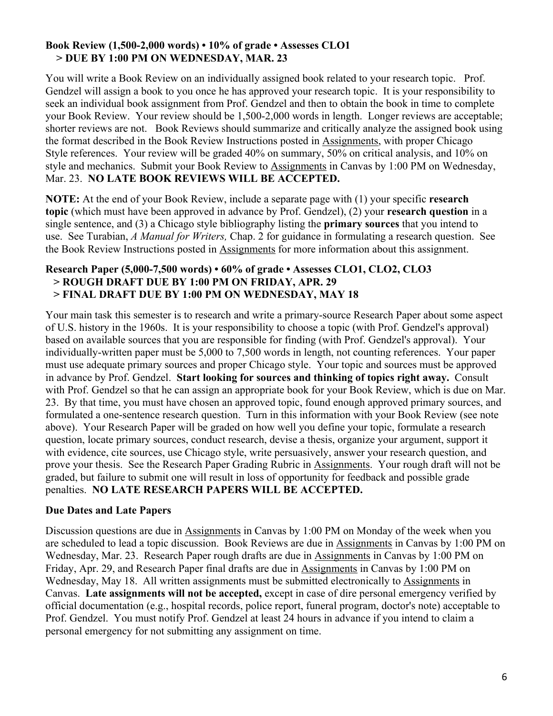### **Book Review (1,500-2,000 words) • 10% of grade • Assesses CLO1 > DUE BY 1:00 PM ON WEDNESDAY, MAR. 23**

You will write a Book Review on an individually assigned book related to your research topic. Prof. Gendzel will assign a book to you once he has approved your research topic. It is your responsibility to seek an individual book assignment from Prof. Gendzel and then to obtain the book in time to complete your Book Review. Your review should be 1,500-2,000 words in length. Longer reviews are acceptable; shorter reviews are not. Book Reviews should summarize and critically analyze the assigned book using the format described in the Book Review Instructions posted in Assignments, with proper Chicago Style references. Your review will be graded 40% on summary, 50% on critical analysis, and 10% on style and mechanics. Submit your Book Review to Assignments in Canvas by 1:00 PM on Wednesday, Mar. 23. **NO LATE BOOK REVIEWS WILL BE ACCEPTED.**

**NOTE:** At the end of your Book Review, include a separate page with (1) your specific **research topic** (which must have been approved in advance by Prof. Gendzel), (2) your **research question** in a single sentence, and (3) a Chicago style bibliography listing the **primary sources** that you intend to use. See Turabian, *A Manual for Writers,* Chap. 2 for guidance in formulating a research question. See the Book Review Instructions posted in Assignments for more information about this assignment.

### **Research Paper (5,000-7,500 words) • 60% of grade • Assesses CLO1, CLO2, CLO3 > ROUGH DRAFT DUE BY 1:00 PM ON FRIDAY, APR. 29 > FINAL DRAFT DUE BY 1:00 PM ON WEDNESDAY, MAY 18**

Your main task this semester is to research and write a primary-source Research Paper about some aspect of U.S. history in the 1960s. It is your responsibility to choose a topic (with Prof. Gendzel's approval) based on available sources that you are responsible for finding (with Prof. Gendzel's approval). Your individually-written paper must be 5,000 to 7,500 words in length, not counting references. Your paper must use adequate primary sources and proper Chicago style.Your topic and sources must be approved in advance by Prof. Gendzel. **Start looking for sources and thinking of topics right away.** Consult with Prof. Gendzel so that he can assign an appropriate book for your Book Review, which is due on Mar. 23. By that time, you must have chosen an approved topic, found enough approved primary sources, and formulated a one-sentence research question. Turn in this information with your Book Review (see note above). Your Research Paper will be graded on how well you define your topic, formulate a research question, locate primary sources, conduct research, devise a thesis, organize your argument, support it with evidence, cite sources, use Chicago style, write persuasively, answer your research question, and prove your thesis. See the Research Paper Grading Rubric in Assignments. Your rough draft will not be graded, but failure to submit one will result in loss of opportunity for feedback and possible grade penalties. **NO LATE RESEARCH PAPERS WILL BE ACCEPTED.**

## **Due Dates and Late Papers**

Discussion questions are due in Assignments in Canvas by 1:00 PM on Monday of the week when you are scheduled to lead a topic discussion. Book Reviews are due in Assignments in Canvas by 1:00 PM on Wednesday, Mar. 23. Research Paper rough drafts are due in Assignments in Canvas by 1:00 PM on Friday, Apr. 29, and Research Paper final drafts are due in Assignments in Canvas by 1:00 PM on Wednesday, May 18. All written assignments must be submitted electronically to Assignments in Canvas. **Late assignments will not be accepted,** except in case of dire personal emergency verified by official documentation (e.g., hospital records, police report, funeral program, doctor's note) acceptable to Prof. Gendzel. You must notify Prof. Gendzel at least 24 hours in advance if you intend to claim a personal emergency for not submitting any assignment on time.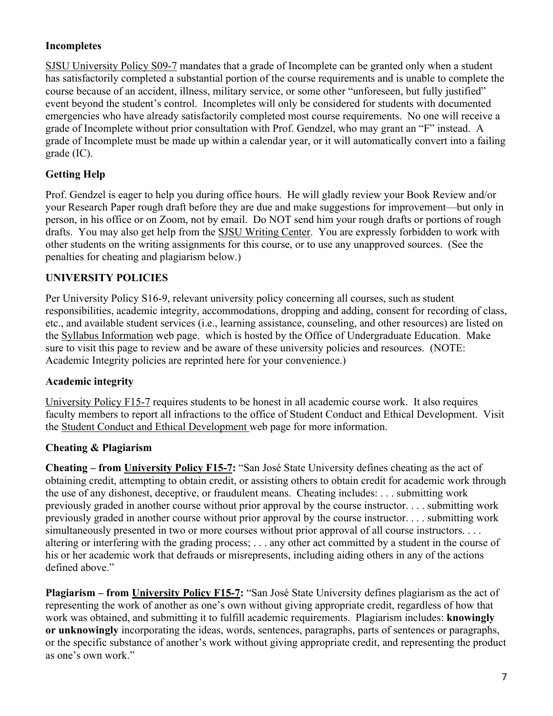## **Incompletes**

SJSU University Policy S09-7 mandates that a grade of Incomplete can be granted only when a student has satisfactorily completed a substantial portion of the course requirements and is unable to complete the course because of an accident, illness, military service, or some other "unforeseen, but fully justified" event beyond the student's control. Incompletes will only be considered for students with documented emergencies who have already satisfactorily completed most course requirements. No one will receive a grade of Incomplete without prior consultation with Prof. Gendzel, who may grant an "F" instead. A grade of Incomplete must be made up within a calendar year, or it will automatically convert into a failing grade (IC).

## **Getting Help**

Prof. Gendzel is eager to help you during office hours. He will gladly review your Book Review and/or your Research Paper rough draft before they are due and make suggestions for improvement—but only in person, in his office or on Zoom, not by email. Do NOT send him your rough drafts or portions of rough drafts. You may also get help from the SJSU Writing Center. You are expressly forbidden to work with other students on the writing assignments for this course, or to use any unapproved sources. (See the penalties for cheating and plagiarism below.)

### **UNIVERSITY POLICIES**

Per University Policy S16-9, relevant university policy concerning all courses, such as student responsibilities, academic integrity, accommodations, dropping and adding, consent for recording of class, etc., and available student services (i.e., learning assistance, counseling, and other resources) are listed on the Syllabus Information web page. which is hosted by the Office of Undergraduate Education. Make sure to visit this page to review and be aware of these university policies and resources. (NOTE: Academic Integrity policies are reprinted here for your convenience.)

### **Academic integrity**

University Policy F15-7 requires students to be honest in all academic course work. It also requires faculty members to report all infractions to the office of Student Conduct and Ethical Development. Visit the Student Conduct and Ethical Development web page for more information.

### **Cheating & Plagiarism**

**Cheating – from University Policy F15-7:** "San José State University defines cheating as the act of obtaining credit, attempting to obtain credit, or assisting others to obtain credit for academic work through the use of any dishonest, deceptive, or fraudulent means. Cheating includes: . . . submitting work previously graded in another course without prior approval by the course instructor. . . . submitting work previously graded in another course without prior approval by the course instructor. . . . submitting work simultaneously presented in two or more courses without prior approval of all course instructors. . . . altering or interfering with the grading process; . . . any other act committed by a student in the course of his or her academic work that defrauds or misrepresents, including aiding others in any of the actions defined above."

**Plagiarism – from University Policy F15-7:** "San José State University defines plagiarism as the act of representing the work of another as one's own without giving appropriate credit, regardless of how that work was obtained, and submitting it to fulfill academic requirements. Plagiarism includes: **knowingly or unknowingly** incorporating the ideas, words, sentences, paragraphs, parts of sentences or paragraphs, or the specific substance of another's work without giving appropriate credit, and representing the product as one's own work."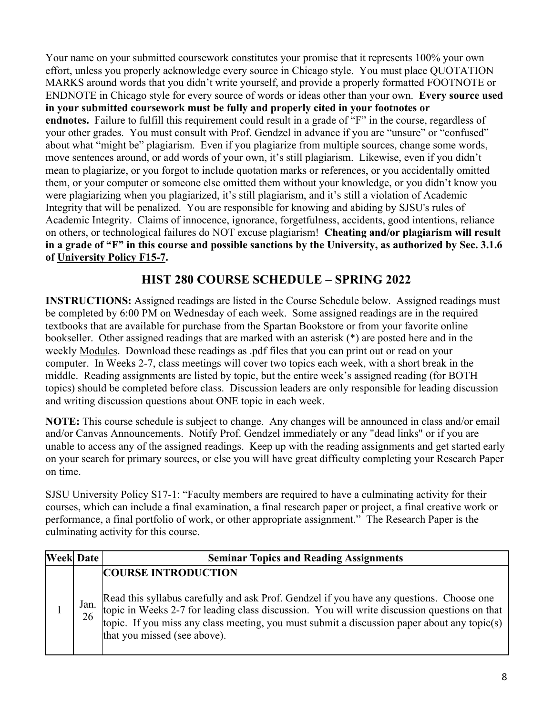Your name on your submitted coursework constitutes your promise that it represents 100% your own effort, unless you properly acknowledge every source in Chicago style. You must place QUOTATION MARKS around words that you didn't write yourself, and provide a properly formatted FOOTNOTE or ENDNOTE in Chicago style for every source of words or ideas other than your own. **Every source used in your submitted coursework must be fully and properly cited in your footnotes or endnotes.** Failure to fulfill this requirement could result in a grade of "F" in the course, regardless of your other grades. You must consult with Prof. Gendzel in advance if you are "unsure" or "confused" about what "might be" plagiarism. Even if you plagiarize from multiple sources, change some words, move sentences around, or add words of your own, it's still plagiarism. Likewise, even if you didn't mean to plagiarize, or you forgot to include quotation marks or references, or you accidentally omitted them, or your computer or someone else omitted them without your knowledge, or you didn't know you were plagiarizing when you plagiarized, it's still plagiarism, and it's still a violation of Academic Integrity that will be penalized. You are responsible for knowing and abiding by SJSU's rules of Academic Integrity. Claims of innocence, ignorance, forgetfulness, accidents, good intentions, reliance on others, or technological failures do NOT excuse plagiarism! **Cheating and/or plagiarism will result in a grade of "F" in this course and possible sanctions by the University, as authorized by Sec. 3.1.6 of University Policy F15-7.**

# **HIST 280 COURSE SCHEDULE – SPRING 2022**

**INSTRUCTIONS:** Assigned readings are listed in the Course Schedule below. Assigned readings must be completed by 6:00 PM on Wednesday of each week. Some assigned readings are in the required textbooks that are available for purchase from the Spartan Bookstore or from your favorite online bookseller. Other assigned readings that are marked with an asterisk (\*) are posted here and in the weekly Modules. Download these readings as .pdf files that you can print out or read on your computer. In Weeks 2-7, class meetings will cover two topics each week, with a short break in the middle. Reading assignments are listed by topic, but the entire week's assigned reading (for BOTH topics) should be completed before class. Discussion leaders are only responsible for leading discussion and writing discussion questions about ONE topic in each week.

**NOTE:** This course schedule is subject to change. Any changes will be announced in class and/or email and/or Canvas Announcements. Notify Prof. Gendzel immediately or any "dead links" or if you are unable to access any of the assigned readings. Keep up with the reading assignments and get started early on your search for primary sources, or else you will have great difficulty completing your Research Paper on time.

SJSU University Policy S17-1: "Faculty members are required to have a culminating activity for their courses, which can include a final examination, a final research paper or project, a final creative work or performance, a final portfolio of work, or other appropriate assignment." The Research Paper is the culminating activity for this course.

| <b>Week Date</b> |            | <b>Seminar Topics and Reading Assignments</b>                                                                                                                                                                                                                                                                        |
|------------------|------------|----------------------------------------------------------------------------------------------------------------------------------------------------------------------------------------------------------------------------------------------------------------------------------------------------------------------|
|                  |            | <b>COURSE INTRODUCTION</b>                                                                                                                                                                                                                                                                                           |
|                  | Jan.<br>26 | Read this syllabus carefully and ask Prof. Gendzel if you have any questions. Choose one topic in Weeks 2-7 for leading class discussion. You will write discussion questions on that<br>topic. If you miss any class meeting, you must submit a discussion paper about any topic(s)<br>that you missed (see above). |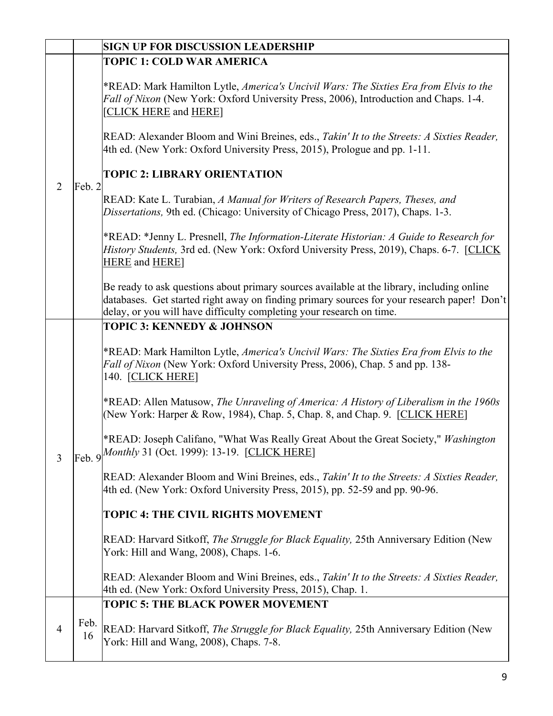|                |            | <b>SIGN UP FOR DISCUSSION LEADERSHIP</b>                                                                                                                                                                                                                          |
|----------------|------------|-------------------------------------------------------------------------------------------------------------------------------------------------------------------------------------------------------------------------------------------------------------------|
|                |            | <b>TOPIC 1: COLD WAR AMERICA</b>                                                                                                                                                                                                                                  |
|                |            | *READ: Mark Hamilton Lytle, America's Uncivil Wars: The Sixties Era from Elvis to the<br>Fall of Nixon (New York: Oxford University Press, 2006), Introduction and Chaps. 1-4.<br>[CLICK HERE and HERE]                                                           |
|                |            | READ: Alexander Bloom and Wini Breines, eds., Takin' It to the Streets: A Sixties Reader,<br>4th ed. (New York: Oxford University Press, 2015), Prologue and pp. 1-11.                                                                                            |
| $\overline{2}$ | Feb. 2     | <b>TOPIC 2: LIBRARY ORIENTATION</b>                                                                                                                                                                                                                               |
|                |            | READ: Kate L. Turabian, A Manual for Writers of Research Papers, Theses, and<br>Dissertations, 9th ed. (Chicago: University of Chicago Press, 2017), Chaps. 1-3.                                                                                                  |
|                |            | *READ: *Jenny L. Presnell, The Information-Literate Historian: A Guide to Research for<br><i>History Students, 3rd ed. (New York: Oxford University Press, 2019), Chaps. 6-7. [CLICK]</i><br><b>HERE</b> and <b>HERE</b>                                          |
|                |            | Be ready to ask questions about primary sources available at the library, including online<br>databases. Get started right away on finding primary sources for your research paper! Don't<br>delay, or you will have difficulty completing your research on time. |
|                |            | <b>TOPIC 3: KENNEDY &amp; JOHNSON</b>                                                                                                                                                                                                                             |
|                |            | *READ: Mark Hamilton Lytle, America's Uncivil Wars: The Sixties Era from Elvis to the<br>Fall of Nixon (New York: Oxford University Press, 2006), Chap. 5 and pp. 138-<br>140. [CLICK HERE]                                                                       |
| 3              |            | *READ: Allen Matusow, The Unraveling of America: A History of Liberalism in the 1960s<br>(New York: Harper & Row, 1984), Chap. 5, Chap. 8, and Chap. 9. [CLICK HERE]                                                                                              |
|                |            | *READ: Joseph Califano, "What Was Really Great About the Great Society," Washington<br>$\left  \frac{\text{Feb. 9}}{\text{Heb. 9}} \right $ Monthly 31 (Oct. 1999): 13-19. [CLICK HERE]                                                                           |
|                |            | READ: Alexander Bloom and Wini Breines, eds., Takin' It to the Streets: A Sixties Reader,<br>4th ed. (New York: Oxford University Press, 2015), pp. 52-59 and pp. 90-96.                                                                                          |
|                |            | TOPIC 4: THE CIVIL RIGHTS MOVEMENT                                                                                                                                                                                                                                |
|                |            | READ: Harvard Sitkoff, <i>The Struggle for Black Equality</i> , 25th Anniversary Edition (New<br>York: Hill and Wang, 2008), Chaps. 1-6.                                                                                                                          |
|                |            | READ: Alexander Bloom and Wini Breines, eds., Takin' It to the Streets: A Sixties Reader,<br>4th ed. (New York: Oxford University Press, 2015), Chap. 1.                                                                                                          |
|                |            | <b>TOPIC 5: THE BLACK POWER MOVEMENT</b>                                                                                                                                                                                                                          |
| 4              | Feb.<br>16 | READ: Harvard Sitkoff, The Struggle for Black Equality, 25th Anniversary Edition (New<br>York: Hill and Wang, 2008), Chaps. 7-8.                                                                                                                                  |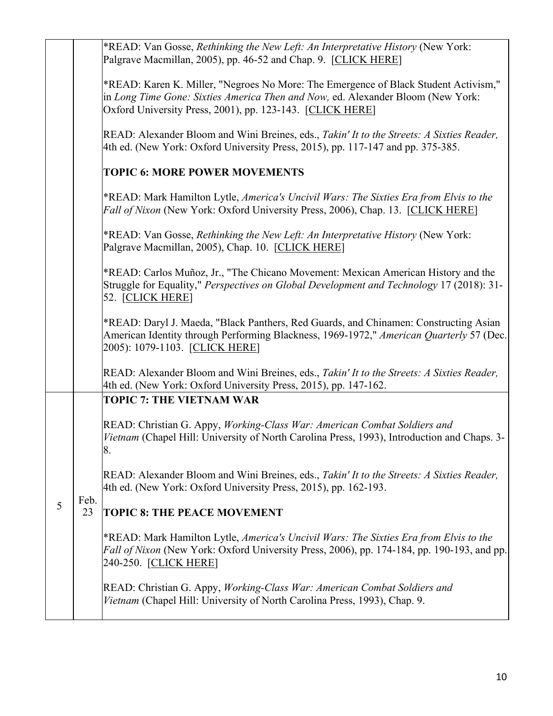|   |            | *READ: Van Gosse, Rethinking the New Left: An Interpretative History (New York:<br>Palgrave Macmillan, 2005), pp. 46-52 and Chap. 9. [CLICK HERE]                                                                                   |
|---|------------|-------------------------------------------------------------------------------------------------------------------------------------------------------------------------------------------------------------------------------------|
|   |            | *READ: Karen K. Miller, "Negroes No More: The Emergence of Black Student Activism,"<br>in Long Time Gone: Sixties America Then and Now, ed. Alexander Bloom (New York:<br>Oxford University Press, 2001), pp. 123-143. [CLICK HERE] |
|   |            | READ: Alexander Bloom and Wini Breines, eds., Takin' It to the Streets: A Sixties Reader,<br>4th ed. (New York: Oxford University Press, 2015), pp. 117-147 and pp. 375-385.                                                        |
|   |            | <b>TOPIC 6: MORE POWER MOVEMENTS</b>                                                                                                                                                                                                |
|   |            | *READ: Mark Hamilton Lytle, America's Uncivil Wars: The Sixties Era from Elvis to the<br>Fall of Nixon (New York: Oxford University Press, 2006), Chap. 13. [CLICK HERE]                                                            |
|   |            | *READ: Van Gosse, Rethinking the New Left: An Interpretative History (New York:<br>Palgrave Macmillan, 2005), Chap. 10. [CLICK HERE]                                                                                                |
|   |            | *READ: Carlos Muñoz, Jr., "The Chicano Movement: Mexican American History and the<br>Struggle for Equality," <i>Perspectives on Global Development and Technology</i> 17 (2018): 31-<br>52. [CLICK HERE]                            |
|   |            | *READ: Daryl J. Maeda, "Black Panthers, Red Guards, and Chinamen: Constructing Asian<br>American Identity through Performing Blackness, 1969-1972," American Quarterly 57 (Dec.<br>2005): 1079-1103. [CLICK HERE]                   |
|   |            | READ: Alexander Bloom and Wini Breines, eds., Takin' It to the Streets: A Sixties Reader,<br>4th ed. (New York: Oxford University Press, 2015), pp. 147-162.                                                                        |
|   |            | <b>TOPIC 7: THE VIETNAM WAR</b>                                                                                                                                                                                                     |
|   | Feb.<br>23 | READ: Christian G. Appy, Working-Class War: American Combat Soldiers and<br>Vietnam (Chapel Hill: University of North Carolina Press, 1993), Introduction and Chaps. 3-<br>8.                                                       |
|   |            | READ: Alexander Bloom and Wini Breines, eds., Takin' It to the Streets: A Sixties Reader,<br>4th ed. (New York: Oxford University Press, 2015), pp. 162-193.                                                                        |
| 5 |            | <b>TOPIC 8: THE PEACE MOVEMENT</b>                                                                                                                                                                                                  |
|   |            | *READ: Mark Hamilton Lytle, America's Uncivil Wars: The Sixties Era from Elvis to the<br>Fall of Nixon (New York: Oxford University Press, 2006), pp. 174-184, pp. 190-193, and pp.<br>240-250. [CLICK HERE]                        |
|   |            | READ: Christian G. Appy, Working-Class War: American Combat Soldiers and<br>Vietnam (Chapel Hill: University of North Carolina Press, 1993), Chap. 9.                                                                               |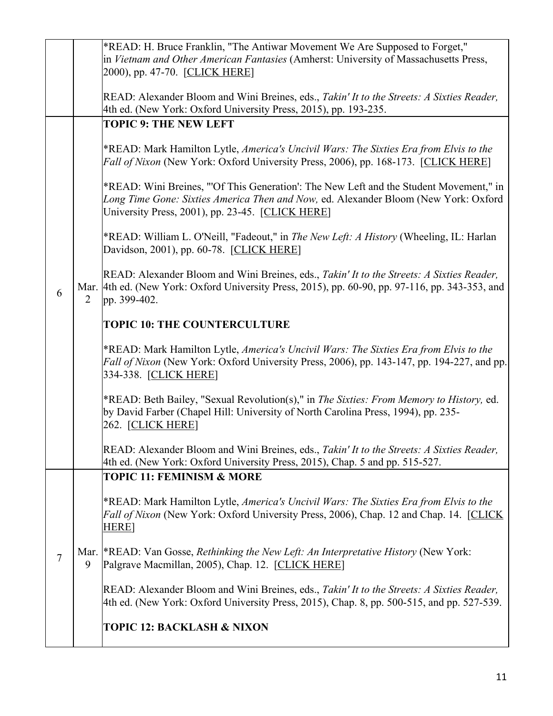|  |   |                                                                                                                                                                                                | *READ: H. Bruce Franklin, "The Antiwar Movement We Are Supposed to Forget,"                                                                                                                                                       |
|--|---|------------------------------------------------------------------------------------------------------------------------------------------------------------------------------------------------|-----------------------------------------------------------------------------------------------------------------------------------------------------------------------------------------------------------------------------------|
|  |   |                                                                                                                                                                                                | in Vietnam and Other American Fantasies (Amherst: University of Massachusetts Press,<br>2000), pp. 47-70. [CLICK HERE]                                                                                                            |
|  |   |                                                                                                                                                                                                | READ: Alexander Bloom and Wini Breines, eds., Takin' It to the Streets: A Sixties Reader,<br>4th ed. (New York: Oxford University Press, 2015), pp. 193-235.                                                                      |
|  |   |                                                                                                                                                                                                | <b>TOPIC 9: THE NEW LEFT</b>                                                                                                                                                                                                      |
|  |   |                                                                                                                                                                                                | *READ: Mark Hamilton Lytle, America's Uncivil Wars: The Sixties Era from Elvis to the<br>Fall of Nixon (New York: Oxford University Press, 2006), pp. 168-173. [CLICK HERE]                                                       |
|  |   |                                                                                                                                                                                                | *READ: Wini Breines, "'Of This Generation': The New Left and the Student Movement," in<br>Long Time Gone: Sixties America Then and Now, ed. Alexander Bloom (New York: Oxford<br>University Press, 2001), pp. 23-45. [CLICK HERE] |
|  |   |                                                                                                                                                                                                | *READ: William L. O'Neill, "Fadeout," in The New Left: A History (Wheeling, IL: Harlan<br>Davidson, 2001), pp. 60-78. [CLICK HERE]                                                                                                |
|  | 6 | $\overline{2}$                                                                                                                                                                                 | READ: Alexander Bloom and Wini Breines, eds., Takin' It to the Streets: A Sixties Reader,<br>Mar. 4th ed. (New York: Oxford University Press, 2015), pp. 60-90, pp. 97-116, pp. 343-353, and<br>pp. 399-402.                      |
|  |   |                                                                                                                                                                                                | <b>TOPIC 10: THE COUNTERCULTURE</b>                                                                                                                                                                                               |
|  |   |                                                                                                                                                                                                | *READ: Mark Hamilton Lytle, America's Uncivil Wars: The Sixties Era from Elvis to the<br>Fall of Nixon (New York: Oxford University Press, 2006), pp. 143-147, pp. 194-227, and pp.<br>334-338. [CLICK HERE]                      |
|  |   |                                                                                                                                                                                                | *READ: Beth Bailey, "Sexual Revolution(s)," in The Sixties: From Memory to History, ed.<br>by David Farber (Chapel Hill: University of North Carolina Press, 1994), pp. 235-<br>$262.$ [CLICK HERE]                               |
|  |   |                                                                                                                                                                                                | READ: Alexander Bloom and Wini Breines, eds., Takin' It to the Streets: A Sixties Reader,<br>4th ed. (New York: Oxford University Press, 2015), Chap. 5 and pp. 515-527.                                                          |
|  |   |                                                                                                                                                                                                | <b>TOPIC 11: FEMINISM &amp; MORE</b>                                                                                                                                                                                              |
|  |   | *READ: Mark Hamilton Lytle, America's Uncivil Wars: The Sixties Era from Elvis to the<br>Fall of Nixon (New York: Oxford University Press, 2006), Chap. 12 and Chap. 14. [CLICK<br><b>HERE</b> |                                                                                                                                                                                                                                   |
|  | 7 | 9                                                                                                                                                                                              | Mar.  *READ: Van Gosse, Rethinking the New Left: An Interpretative History (New York:<br>Palgrave Macmillan, 2005), Chap. 12. [CLICK HERE]                                                                                        |
|  |   |                                                                                                                                                                                                | READ: Alexander Bloom and Wini Breines, eds., Takin' It to the Streets: A Sixties Reader,<br>4th ed. (New York: Oxford University Press, 2015), Chap. 8, pp. 500-515, and pp. 527-539.                                            |
|  |   |                                                                                                                                                                                                | <b>TOPIC 12: BACKLASH &amp; NIXON</b>                                                                                                                                                                                             |
|  |   |                                                                                                                                                                                                |                                                                                                                                                                                                                                   |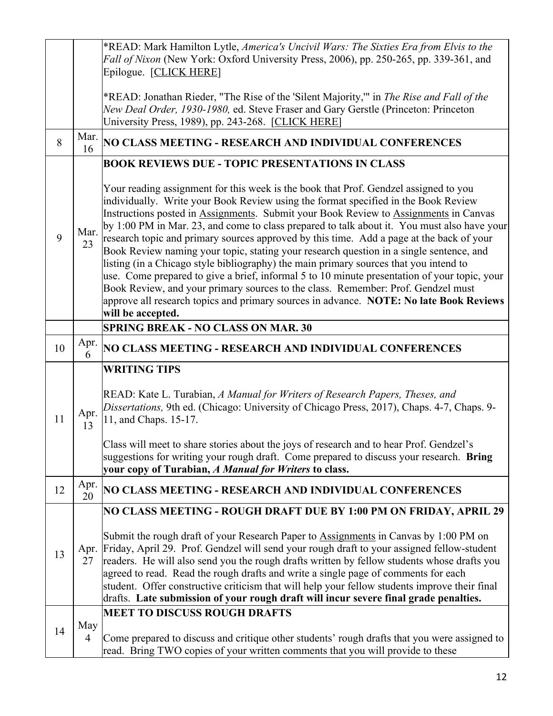|    |            | *READ: Mark Hamilton Lytle, America's Uncivil Wars: The Sixties Era from Elvis to the<br>Fall of Nixon (New York: Oxford University Press, 2006), pp. 250-265, pp. 339-361, and<br>Epilogue. [CLICK HERE]                                                                                                                                                                                                                                                                                                                                                                                                                                                                                                                                                                                                                                                                                                                                                                                                      |
|----|------------|----------------------------------------------------------------------------------------------------------------------------------------------------------------------------------------------------------------------------------------------------------------------------------------------------------------------------------------------------------------------------------------------------------------------------------------------------------------------------------------------------------------------------------------------------------------------------------------------------------------------------------------------------------------------------------------------------------------------------------------------------------------------------------------------------------------------------------------------------------------------------------------------------------------------------------------------------------------------------------------------------------------|
|    |            | *READ: Jonathan Rieder, "The Rise of the 'Silent Majority," in The Rise and Fall of the<br>New Deal Order, 1930-1980, ed. Steve Fraser and Gary Gerstle (Princeton: Princeton<br>University Press, 1989), pp. 243-268. [CLICK HERE]                                                                                                                                                                                                                                                                                                                                                                                                                                                                                                                                                                                                                                                                                                                                                                            |
| 8  | Mar.<br>16 | NO CLASS MEETING - RESEARCH AND INDIVIDUAL CONFERENCES                                                                                                                                                                                                                                                                                                                                                                                                                                                                                                                                                                                                                                                                                                                                                                                                                                                                                                                                                         |
| 9  | Mar.<br>23 | <b>BOOK REVIEWS DUE - TOPIC PRESENTATIONS IN CLASS</b><br>Your reading assignment for this week is the book that Prof. Gendzel assigned to you<br>individually. Write your Book Review using the format specified in the Book Review<br>Instructions posted in Assignments. Submit your Book Review to Assignments in Canvas<br>by 1:00 PM in Mar. 23, and come to class prepared to talk about it. You must also have your<br>research topic and primary sources approved by this time. Add a page at the back of your<br>Book Review naming your topic, stating your research question in a single sentence, and<br>listing (in a Chicago style bibliography) the main primary sources that you intend to<br>use. Come prepared to give a brief, informal 5 to 10 minute presentation of your topic, your<br>Book Review, and your primary sources to the class. Remember: Prof. Gendzel must<br>approve all research topics and primary sources in advance. NOTE: No late Book Reviews<br>will be accepted. |
|    |            | <b>SPRING BREAK - NO CLASS ON MAR. 30</b>                                                                                                                                                                                                                                                                                                                                                                                                                                                                                                                                                                                                                                                                                                                                                                                                                                                                                                                                                                      |
| 10 | Apr.<br>6  | NO CLASS MEETING - RESEARCH AND INDIVIDUAL CONFERENCES                                                                                                                                                                                                                                                                                                                                                                                                                                                                                                                                                                                                                                                                                                                                                                                                                                                                                                                                                         |
| 11 | Apr.<br>13 | <b>WRITING TIPS</b><br>READ: Kate L. Turabian, A Manual for Writers of Research Papers, Theses, and<br>Dissertations, 9th ed. (Chicago: University of Chicago Press, 2017), Chaps. 4-7, Chaps. 9-<br>11, and Chaps. 15-17.<br>Class will meet to share stories about the joys of research and to hear Prof. Gendzel's<br>suggestions for writing your rough draft. Come prepared to discuss your research. Bring<br>your copy of Turabian, A Manual for Writers to class.                                                                                                                                                                                                                                                                                                                                                                                                                                                                                                                                      |
| 12 | Apr.<br>20 | NO CLASS MEETING - RESEARCH AND INDIVIDUAL CONFERENCES                                                                                                                                                                                                                                                                                                                                                                                                                                                                                                                                                                                                                                                                                                                                                                                                                                                                                                                                                         |
| 13 | 27         | NO CLASS MEETING - ROUGH DRAFT DUE BY 1:00 PM ON FRIDAY, APRIL 29<br>Submit the rough draft of your Research Paper to Assignments in Canvas by 1:00 PM on<br>Apr. Friday, April 29. Prof. Gendzel will send your rough draft to your assigned fellow-student<br>readers. He will also send you the rough drafts written by fellow students whose drafts you<br>agreed to read. Read the rough drafts and write a single page of comments for each<br>student. Offer constructive criticism that will help your fellow students improve their final<br>drafts. Late submission of your rough draft will incur severe final grade penalties.                                                                                                                                                                                                                                                                                                                                                                     |
| 14 | May<br>4   | <b>MEET TO DISCUSS ROUGH DRAFTS</b><br>Come prepared to discuss and critique other students' rough drafts that you were assigned to<br>read. Bring TWO copies of your written comments that you will provide to these                                                                                                                                                                                                                                                                                                                                                                                                                                                                                                                                                                                                                                                                                                                                                                                          |